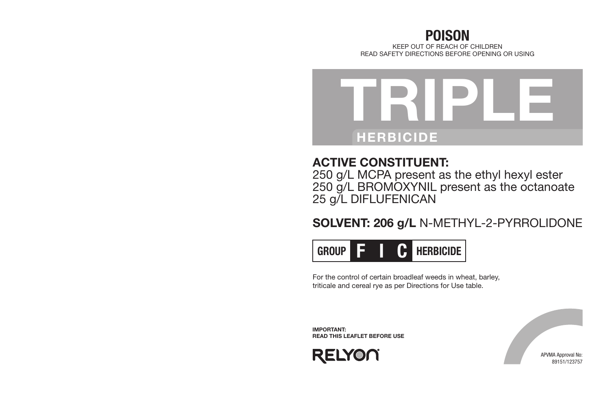# POISON KEEP OUT OF REACH OF CHILDREN READ SAFETY DIRECTIONS BEFORE OPENING OR USING



# ACTIVE CONSTITUENT:

250 g/L MCPA present as the ethyl hexyl ester 250 g/L BROMOXYNIL present as the octanoate 25 g/L DIFLUFENICAN

# SOLVENT: 206 g/L N-METHYL-2-PYRROLIDONE



For the control of certain broadleaf weeds in wheat, barley, triticale and cereal rye as per Directions for Use table.

IMPORTANT: READ THIS LEAFLET BEFORE USE



APVMA Approval No: 89151/123757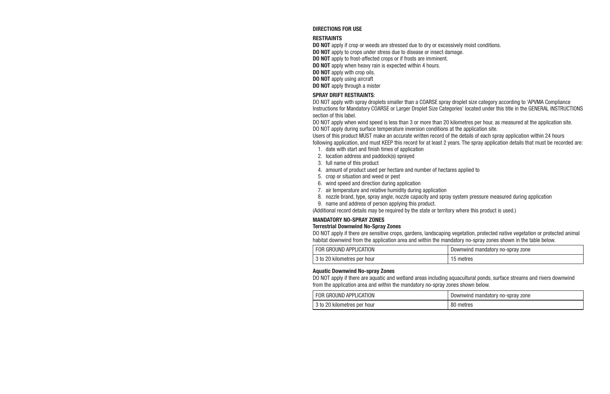#### DIRECTIONS FOR USE

#### RESTRAINTS

**DO NOT** apply if crop or weeds are stressed due to dry or excessively moist conditions.

DO NOT apply to crops under stress due to disease or insect damage.

DO NOT apply to frost-affected crops or if frosts are imminent.

DO NOT apply when heavy rain is expected within 4 hours.

DO NOT apply with crop oils.

DO NOT apply using aircraft

DO NOT apply through a mister

#### SPRAY DRIFT RESTRAINTS:

DO NOT apply with spray droplets smaller than a COARSE spray droplet size category according to 'APVMA Compliance Instructions for Mandatory COARSE or Larger Droplet Size Categories' located under this title in the GENERAL INSTRUCTIONS section of this label.

DO NOT apply when wind speed is less than 3 or more than 20 kilometres per hour, as measured at the application site. DO NOT apply during surface temperature inversion conditions at the application site.

Users of this product MUST make an accurate written record of the details of each spray application within 24 hours

following application, and must KEEP this record for at least 2 years. The spray application details that must be recorded are:

- 1. date with start and finish times of application
- 2. location address and paddock(s) sprayed
- 3. full name of this product
- 4. amount of product used per hectare and number of hectares applied to
- 5. crop or situation and weed or pest
- 6. wind speed and direction during application
- 7. air temperature and relative humidity during application
- 8. nozzle brand, type, spray angle, nozzle capacity and spray system pressure measured during application
- 9. name and address of person applying this product.

(Additional record details may be required by the state or territory where this product is used.)

#### MANDATORY NO-SPRAY ZONES

#### Terrestrial Downwind No-Spray Zones

DO NOT apply if there are sensitive crops, gardens, landscaping vegetation, protected native vegetation or protected animal habitat downwind from the application area and within the mandatory no-spray zones shown in the table below.

| FOR GROUND APPLICATION      | Downwind mandatory no-spray zone |  |
|-----------------------------|----------------------------------|--|
| 3 to 20 kilometres per hour | metres                           |  |

#### Aquatic Downwind No-spray Zones

DO NOT apply if there are aquatic and wetland areas including aquacultural ponds, surface streams and rivers downwind from the application area and within the mandatory no-spray zones shown below.

| FOR GROUND APPLICATION      | . Downwind mandatory no-spray zone |  |
|-----------------------------|------------------------------------|--|
| 3 to 20 kilometres per hour | metres                             |  |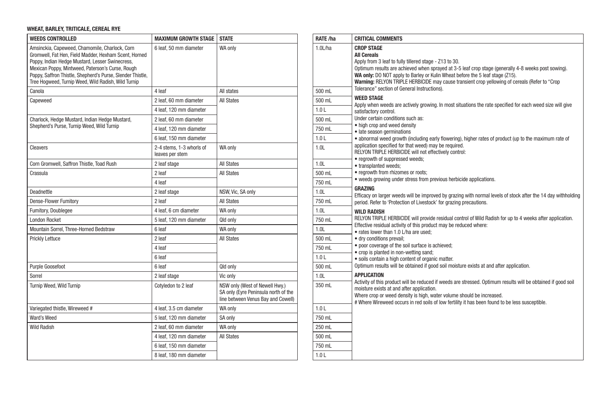# WHEAT, BARLEY, TRITICALE, CEREAL RYE

| <b>WEEDS CONTROLLED</b>                                                                                                                                                                                                                                                                                                             | <b>MAXIMUM GROWTH STAGE</b>                 | <b>STATE</b>                                                                                                 | RATE /ha         | <b>CRITICAL COMMENTS</b>                                                                                                                     |
|-------------------------------------------------------------------------------------------------------------------------------------------------------------------------------------------------------------------------------------------------------------------------------------------------------------------------------------|---------------------------------------------|--------------------------------------------------------------------------------------------------------------|------------------|----------------------------------------------------------------------------------------------------------------------------------------------|
| Amsinckia, Capeweed, Chamomile, Charlock, Corn<br>Gromwell, Fat Hen, Field Madder, Hexham Scent, Horned<br>Poppy, Indian Hedge Mustard, Lesser Swinecress,<br>Mexican Poppy, Mintweed, Paterson's Curse, Rough<br>Poppy, Saffron Thistle, Shepherd's Purse, Slender Thistle,<br>Tree Hogweed, Turnip Weed, Wild Radish, Wild Turnip | 6 leaf, 50 mm diameter                      | WA only                                                                                                      | 1.0L/ha          | <b>CROP STAGE</b><br><b>All Cereals</b><br>Apply from 3 leaf to ful<br>Optimum results are a<br>WA only: DO NOT appl<br>Warning: RELYON TRIF |
| Canola                                                                                                                                                                                                                                                                                                                              | 4 leaf                                      | All states                                                                                                   | 500 mL           | Tolerance" section of G                                                                                                                      |
| Capeweed                                                                                                                                                                                                                                                                                                                            | 2 leaf, 60 mm diameter                      | <b>All States</b>                                                                                            | 500 mL           | <b>WEED STAGE</b><br>Apply when weeds are                                                                                                    |
|                                                                                                                                                                                                                                                                                                                                     | 4 leaf. 120 mm diameter                     |                                                                                                              | 1.0 <sub>L</sub> | satisfactory control.                                                                                                                        |
| Charlock, Hedge Mustard, Indian Hedge Mustard,                                                                                                                                                                                                                                                                                      | 2 leaf, 60 mm diameter                      |                                                                                                              | 500 mL           | Under certain condition                                                                                                                      |
| Shepherd's Purse, Turnip Weed, Wild Turnip                                                                                                                                                                                                                                                                                          | 4 leaf. 120 mm diameter                     |                                                                                                              | 750 mL           | • high crop and weed<br>· late season germinat                                                                                               |
|                                                                                                                                                                                                                                                                                                                                     | 6 leaf. 150 mm diameter                     |                                                                                                              | 1.0 <sub>L</sub> | · abnormal weed grow                                                                                                                         |
| Cleavers                                                                                                                                                                                                                                                                                                                            | 2-4 stems, 1-3 whorls of<br>leaves per stem | WA only                                                                                                      | 1.0L             | application specified fo<br><b>RELYON TRIPLE HERBIO</b>                                                                                      |
| Corn Gromwell, Saffron Thistle, Toad Rush                                                                                                                                                                                                                                                                                           | 2 leaf stage                                | <b>All States</b>                                                                                            | 1.0L             | • regrowth of suppress<br>· transplanted weeds;                                                                                              |
| Crassula                                                                                                                                                                                                                                                                                                                            | 2 leaf                                      | All States                                                                                                   | 500 mL           | • regrowth from rhizon                                                                                                                       |
|                                                                                                                                                                                                                                                                                                                                     | 4 leaf                                      |                                                                                                              | 750 mL           | · weeds arowing unde                                                                                                                         |
| <b>Deadnettle</b>                                                                                                                                                                                                                                                                                                                   | 2 leaf stage                                | NSW, Vic, SA only                                                                                            | 1.0L             | <b>GRAZING</b><br>Efficacy on larger weed                                                                                                    |
| <b>Dense-Flower Fumitory</b>                                                                                                                                                                                                                                                                                                        | 2 leaf                                      | <b>All States</b>                                                                                            | 750 mL           | period. Refer to 'Protec                                                                                                                     |
| Fumitory, Doublegee                                                                                                                                                                                                                                                                                                                 | 4 leaf, 6 cm diameter                       | WA only                                                                                                      | 1.0L             | <b>WILD RADISH</b>                                                                                                                           |
| <b>London Rocket</b>                                                                                                                                                                                                                                                                                                                | 5 leaf, 120 mm diameter                     | Qld only                                                                                                     | 750 mL           | <b>RELYON TRIPLE HERBIO</b>                                                                                                                  |
| Mountain Sorrel, Three-Horned Bedstraw                                                                                                                                                                                                                                                                                              | 6 leaf                                      | WA only                                                                                                      | 1.0L             | Effective residual activi<br>• rates lower than 1.0                                                                                          |
| Prickly Lettuce                                                                                                                                                                                                                                                                                                                     | 2 leaf                                      | <b>All States</b>                                                                                            | 500 mL           | · drv conditions prevai                                                                                                                      |
|                                                                                                                                                                                                                                                                                                                                     | 4 leaf                                      |                                                                                                              | 750 mL           | • poor coverage of the<br>• crop is planted in nor                                                                                           |
|                                                                                                                                                                                                                                                                                                                                     | 6 leaf                                      |                                                                                                              | 1.0 <sub>L</sub> | · soils contain a high o                                                                                                                     |
| Purple Goosefoot                                                                                                                                                                                                                                                                                                                    | 6 leaf                                      | Old only                                                                                                     | 500 mL           | Optimum results will be                                                                                                                      |
| Sorrel                                                                                                                                                                                                                                                                                                                              | 2 leaf stage                                | Vic only                                                                                                     | 1.0L             | <b>APPLICATION</b>                                                                                                                           |
| Turnip Weed, Wild Turnip                                                                                                                                                                                                                                                                                                            | Cotyledon to 2 leaf                         | NSW only (West of Newell Hwy.)<br>SA only (Eyre Peninsula north of the<br>line between Venus Bay and Cowell) | 350 mL           | Activity of this product<br>moisture exists at and<br>Where crop or weed de<br># Where Wireweed occ                                          |
| Variegated thistle, Wireweed #                                                                                                                                                                                                                                                                                                      | 4 leaf. 3.5 cm diameter                     | WA only                                                                                                      | 1.0 <sub>L</sub> |                                                                                                                                              |
| Ward's Weed                                                                                                                                                                                                                                                                                                                         | 5 leaf, 120 mm diameter                     | SA only                                                                                                      | 750 mL           |                                                                                                                                              |
| <b>Wild Radish</b>                                                                                                                                                                                                                                                                                                                  | 2 leaf, 60 mm diameter                      | WA only                                                                                                      | 250 mL           |                                                                                                                                              |
|                                                                                                                                                                                                                                                                                                                                     | 4 leaf. 120 mm diameter                     | <b>All States</b>                                                                                            | 500 mL           |                                                                                                                                              |
|                                                                                                                                                                                                                                                                                                                                     | 6 leaf, 150 mm diameter                     |                                                                                                              | 750 mL           |                                                                                                                                              |
|                                                                                                                                                                                                                                                                                                                                     | 8 leaf, 180 mm diameter                     |                                                                                                              | 1.0 <sub>L</sub> |                                                                                                                                              |

| RATE /ha         | <b>CRITICAL COMMENTS</b>                                                                                                                                                       |
|------------------|--------------------------------------------------------------------------------------------------------------------------------------------------------------------------------|
| 1.0L/ha          | <b>CROP STAGE</b>                                                                                                                                                              |
|                  | <b>All Cereals</b><br>Apply from 3 leaf to fully tillered stage - Z13 to 30.                                                                                                   |
|                  | Optimum results are achieved when sprayed at 3-5 leaf crop stage (generally 4-8 weeks post sowing).                                                                            |
|                  | WA only: DO NOT apply to Barley or Kulin Wheat before the 5 leaf stage (Z15).                                                                                                  |
|                  | Warning: RELYON TRIPLE HERBICIDE may cause transient crop yellowing of cereals (Refer to "Crop<br>Tolerance" section of General Instructions).                                 |
| 500 mL           | <b>WEED STAGE</b>                                                                                                                                                              |
| 500 mL           | Apply when weeds are actively growing. In most situations the rate specified for each weed size will give                                                                      |
| 1.0 <sub>L</sub> | satisfactory control.                                                                                                                                                          |
| 500 mL           | Under certain conditions such as:<br>• high crop and weed density                                                                                                              |
| 750 mL           | · late season germinations                                                                                                                                                     |
| 1.0L             | • abnormal weed growth (including early flowering), higher rates of product (up to the maximum rate of                                                                         |
| 1.0L             | application specified for that weed) may be required.<br>RELYON TRIPLE HERBICIDE will not effectively control:                                                                 |
|                  | • regrowth of suppressed weeds;                                                                                                                                                |
| 1.0L             | • transplanted weeds;                                                                                                                                                          |
| 500 mL           | · regrowth from rhizomes or roots;<br>• weeds growing under stress from previous herbicide applications.                                                                       |
| 750 mL           | <b>GRAZING</b>                                                                                                                                                                 |
| 1.0L             | Efficacy on larger weeds will be improved by grazing with normal levels of stock after the 14 day withholding                                                                  |
| 750 mL           | period. Refer to 'Protection of Livestock' for grazing precautions.                                                                                                            |
| 1.0L             | <b>WILD RADISH</b>                                                                                                                                                             |
| 750 mL           | RELYON TRIPLE HERBICIDE will provide residual control of Wild Radish for up to 4 weeks after application.<br>Effective residual activity of this product may be reduced where: |
| 1.0L             | • rates lower than 1.0 L/ha are used:                                                                                                                                          |
| 500 mL           | · dry conditions prevail;                                                                                                                                                      |
| 750 mL           | · poor coverage of the soil surface is achieved;<br>• crop is planted in non-wetting sand;                                                                                     |
| 1.0 <sub>L</sub> | · soils contain a high content of organic matter.                                                                                                                              |
| 500 mL           | Optimum results will be obtained if good soil moisture exists at and after application.                                                                                        |
| 1.0L             | <b>APPLICATION</b>                                                                                                                                                             |
| 350 mL           | Activity of this product will be reduced if weeds are stressed. Optimum results will be obtained if good soil<br>moisture exists at and after application.                     |
|                  | Where crop or weed density is high, water volume should be increased.                                                                                                          |
|                  | # Where Wireweed occurs in red soils of low fertility it has been found to be less susceptible.                                                                                |
| 1.0 <sub>L</sub> |                                                                                                                                                                                |
| 750 mL           |                                                                                                                                                                                |
| 250 mL           |                                                                                                                                                                                |
| 500 mL           |                                                                                                                                                                                |
| 750 mL           |                                                                                                                                                                                |
| 1.0 <sub>L</sub> |                                                                                                                                                                                |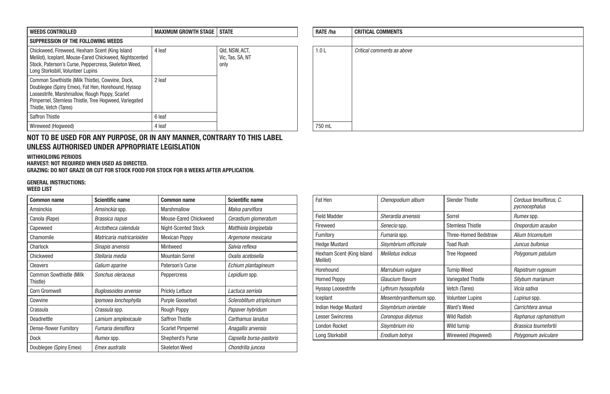| <b>WEEDS CONTROLLED</b>                                                                                                                                                                                                                     | <b>MAXIMUM GROWTH STAGE  </b> | <b>STATE</b>                               | <b>RATE /ha</b> | <b>CRITICAL COMMENTS</b> |
|---------------------------------------------------------------------------------------------------------------------------------------------------------------------------------------------------------------------------------------------|-------------------------------|--------------------------------------------|-----------------|--------------------------|
| SUPPRESSION OF THE FOLLOWING WEEDS                                                                                                                                                                                                          |                               |                                            |                 |                          |
| Chickweed, Fireweed, Hexham Scent (King Island<br>Melilot), Iceplant, Mouse-Eared Chickweed, Nightscented<br>Stock, Paterson's Curse, Peppercress, Skeleton Weed,<br>Long Storksbill, Volunteer Lupins                                      | 4 leaf                        | QId, NSW, ACT,<br>Vic. Tas. SA. NT<br>only | 1.0L            | Critical comments as a   |
| Common Sowthistle (Milk Thistle), Cowvine, Dock.<br>Doublegee (Spiny Emex), Fat Hen, Horehound, Hyssop<br>Loosestrife, Marshmallow, Rough Poppy, Scarlet<br>Pimpernel, Stemless Thistle, Tree Hoaweed, Variegated<br>Thistle. Vetch (Tares) | 2 leaf                        |                                            |                 |                          |
| Saffron Thistle                                                                                                                                                                                                                             | 6 leaf                        |                                            |                 |                          |
| Wireweed (Hoaweed)                                                                                                                                                                                                                          | 4 leaf                        |                                            | 750 mL          |                          |

# NOT TO BE USED FOR ANY PURPOSE, OR IN ANY MANNER, CONTRARY TO THIS LABEL UNLESS AUTHORISED UNDER APPROPRIATE LEGISLATION

#### WITHHOLDING PERIODS

HARVEST: NOT REQUIRED WHEN USED AS DIRECTED.

GRAZING: DO NOT GRAZE OR CUT FOR STOCK FOOD FOR STOCK FOR 8 WEEKS AFTER APPLICATION.

# GENERAL INSTRUCTIONS:

# WEED LIST

| <b>Common name</b>                  | <b>Scientific name</b>      | <b>Common name</b>       | <b>Scientific name</b>    |
|-------------------------------------|-----------------------------|--------------------------|---------------------------|
| Amsinckia                           | Amsinckia spp.              | Marshmallow              | Malva parviflora          |
| Canola (Rape)                       | Brassica napus              | Mouse-Eared Chickweed    | Cerastium glomeratum      |
| Capeweed                            | Arctotheca calendula        | Night-Scented Stock      | Matthiola longipetala     |
| Chamomile                           | Matricaria matricarioides   | <b>Mexican Poppy</b>     | Argemone mexicana         |
| Charlock                            | Sinapis arvensis            | Mintweed                 | Salvia reflexa            |
| Chickweed                           | Stellaria media             | <b>Mountain Sorrel</b>   | Oxalis acetosella         |
| Cleavers                            | Galium aparine              | Paterson's Curse         | Echium plantagineum       |
| Common Sowthistle (Milk<br>Thistle) | Sonchus oleraceus           | Peppercress              | Lepidium spp.             |
| <b>Corn Gromwell</b>                | <b>Buglossoides arvense</b> | <b>Prickly Lettuce</b>   | Lactuca serriola          |
| Cowvine                             | Ipomoea lonchophylla        | Purple Goosefoot         | Scleroblitum atriplicinum |
| Crassula                            | Crassula spp.               | Rough Poppy              | Papaver hybridum          |
| Deadnettle                          | Lamium amplexicaule         | <b>Saffron Thistle</b>   | Carthamus lanatus         |
| Dense-flower Fumitory               | Fumaria densiflora          | <b>Scarlet Pimpernel</b> | Anagallis arvensis        |
| <b>Dock</b>                         | <i>Rumex</i> spp.           | Shepherd's Purse         | Capsella bursa-pastoris   |
| Doublegee (Spiny Emex)              | Emex australis              | <b>Skeleton Weed</b>     | Chondrilla juncea         |

| RATE /ha | <b>CRITICAL COMMENTS</b>   |
|----------|----------------------------|
|          |                            |
| 1.0 L    | Critical comments as above |
|          |                            |
|          |                            |
|          |                            |
|          |                            |
|          |                            |
|          |                            |
|          |                            |
| 750 mL   |                            |

| Fat Hen                               | Chenopodium album        | <b>Slender Thistle</b>       | Corduus tenuiflorus. C.<br>pycnocephalus |
|---------------------------------------|--------------------------|------------------------------|------------------------------------------|
| <b>Field Madder</b>                   | Sherardia arvensis       | Sorrel                       | Rumex spp.                               |
| Fireweed                              | Senecio spp.             | <b>Stemless Thistle</b>      | Onopordum acaulon                        |
| Fumitory                              | Fumaria spp.             | <b>Three-Horned Bedstraw</b> | Alium tricornutum                        |
| <b>Hedge Mustard</b>                  | Sisymbrium officinale    | <b>Toad Rush</b>             | Juncus bufonius                          |
| Hexham Scent (King Island<br>Melilot) | <b>Melilotus indicus</b> | <b>Tree Hogweed</b>          | Polygonum patulum                        |
| Horehound                             | Marrubium vulgare        | <b>Turnip Weed</b>           | Rapistrum rugosum                        |
| <b>Horned Poppy</b>                   | Glaucium flavum          | Variegated Thistle           | Silybum marianum                         |
| <b>Hyssop Loosestrife</b>             | Lythrum hyssopifolia     | Vetch (Tares)                | Vicia sativa                             |
| Iceplant                              | Mesembryanthemum spp.    | <b>Volunteer Lupins</b>      | Lupinus spp.                             |
| Indian Hedge Mustard                  | Sisymbrium orientale     | Ward's Weed                  | Carrichtera annua                        |
| <b>Lesser Swincress</b>               | Coronopus didymus        | <b>Wild Radish</b>           | Raphanus raphanistrum                    |
| <b>London Rocket</b>                  | Sisvmbrium irio          | Wild turnip                  | Brassica tournefortii                    |
| Long Storksbill                       | Erodium botrys           | Wireweed (Hogweed)           | Polygonum aviculare                      |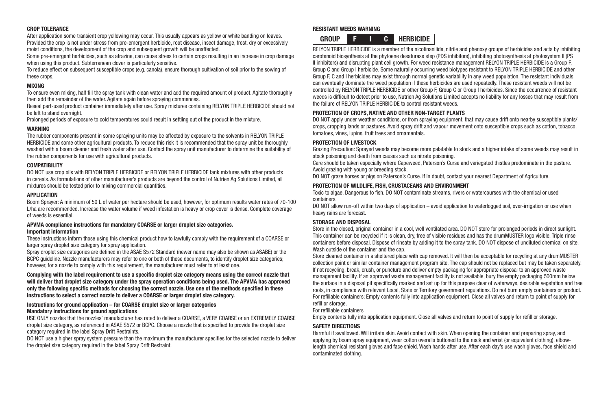# CROP TOLERANCE

After application some transient crop yellowing may occur. This usually appears as yellow or white banding on leaves. Provided the crop is not under stress from pre-emergent herbicide, root disease, insect damage, frost, dry or excessively moist conditions, the development of the crop and subsequent growth will be unaffected.

Some pre-emergent herbicides, such as atrazine, can cause stress to certain crops resulting in an increase in crop damage when using this product. Subterranean clover is particularly sensitive.

To reduce effect on subsequent susceptible crops (e.g. canola), ensure thorough cultivation of soil prior to the sowing of these crops.

#### MIXING

To ensure even mixing, half fill the spray tank with clean water and add the required amount of product. Agitate thoroughly then add the remainder of the water. Agitate again before spraying commences.

Reseal part-used product container immediately after use. Spray mixtures containing RELYON TRIPLE HERBICIDE should not be left to stand overnight.

Prolonged periods of exposure to cold temperatures could result in settling out of the product in the mixture.

# WARNING

The rubber components present in some spraying units may be affected by exposure to the solvents in RELYON TRIPLE HERBICIDE and some other agricultural products. To reduce this risk it is recommended that the spray unit be thoroughly washed with a boom cleaner and fresh water after use. Contact the spray unit manufacturer to determine the suitability of the rubber components for use with agricultural products.

# COMPATIBILITY

DO NOT use crop oils with RELYON TRIPLE HERBICIDE or RELYON TRIPLE HERBICIDE tank mixtures with other products in cereals. As formulations of other manufacturer's products are beyond the control of Nutrien Ag Solutions Limited, all mixtures should be tested prior to mixing commercial quantities.

# APPLICATION

Boom Sprayer: A minimum of 50 L of water per hectare should be used, however, for optimum results water rates of 70-100 L/ha are recommended. Increase the water volume if weed infestation is heavy or crop cover is dense. Complete coverage of weeds is essential.

#### APVMA compliance instructions for mandatory COARSE or larger droplet size categories. Important information

These instructions inform those using this chemical product how to lawfully comply with the requirement of a COARSE or larger spray droplet size category for spray application.

Spray droplet size categories are defined in the ASAE S572 Standard (newer name may also be shown as ASABE) or the BCPC guideline. Nozzle manufacturers may refer to one or both of these documents, to identify droplet size categories; however, for a nozzle to comply with this requirement, the manufacturer must refer to at least one.

#### Complying with the label requirement to use a specific droplet size category means using the correct nozzle that will deliver that droplet size category under the spray operation conditions being used. The APVMA has approved only the following specific methods for choosing the correct nozzle. Use one of the methods specified in these instructions to select a correct nozzle to deliver a COARSE or larger droplet size category.

# Instructions for ground application – for COARSE droplet size or larger categories Mandatory instructions for ground applications

USE ONLY nozzles that the nozzles' manufacturer has rated to deliver a COARSE, a VERY COARSE or an EXTREMELY COARSE droplet size category, as referenced in ASAE S572 or BCPC. Choose a nozzle that is specified to provide the droplet size category required in the label Spray Drift Restraints.

DO NOT use a higher spray system pressure than the maximum the manufacturer specifies for the selected nozzle to deliver the droplet size category required in the label Spray Drift Restraint.

## RESISTANT WEEDS WARNING



RELYON TRIPLE HERBICIDE is a member of the nicotinanilide, nitrile and phenoxy groups of herbicides and acts by inhibiting carotenoid biosynthesis at the phytoene desaturase step (PDS inhibitors), inhibiting photosynthesis at photosystem II (PS II inhibitors) and disrupting plant cell growth. For weed resistance management RELYON TRIPLE HERBICIDE is a Group F, Group C and Group I herbicide. Some naturally occurring weed biotypes resistant to RELYON TRIPLE HERBICIDE and other Group F, C and I herbicides may exist through normal genetic variability in any weed population. The resistant individuals can eventually dominate the weed population if these herbicides are used repeatedly. These resistant weeds will not be controlled by RELYON TRIPLE HERBICIDE or other Group F, Group C or Group I herbicides. Since the occurrence of resistant weeds is difficult to detect prior to use, Nutrien Ag Solutions Limited accepts no liability for any losses that may result from the failure of RELYON TRIPLE HERBICIDE to control resistant weeds.

# PROTECTION OF CROPS, NATIVE AND OTHER NON-TARGET PLANTS

DO NOT apply under weather conditions, or from spraying equipment, that may cause drift onto nearby susceptible plants/ crops, cropping lands or pastures. Avoid spray drift and vapour movement onto susceptible crops such as cotton, tobacco, tomatoes, vines, lupins, fruit trees and ornamentals.

# PROTECTION OF LIVESTOCK

Grazing Precaution: Sprayed weeds may become more palatable to stock and a higher intake of some weeds may result in stock poisoning and death from causes such as nitrate poisoning.

Care should be taken especially where Capeweed, Paterson's Curse and variegated thistles predominate in the pasture. Avoid grazing with young or breeding stock.

DO NOT graze horses or pigs on Paterson's Curse. If in doubt, contact your nearest Department of Agriculture.

# PROTECTION OF WILDLIFE, FISH, CRUSTACEANS AND ENVIRONMENT

Toxic to algae. Dangerous to fish. DO NOT contaminate streams, rivers or watercourses with the chemical or used containers.

DO NOT allow run-off within two days of application – avoid application to waterlogged soil, over-irrigation or use when heavy rains are forecast.

# STORAGE AND DISPOSAL

Store in the closed, original container in a cool, well ventilated area. DO NOT store for prolonged periods in direct sunlight. This container can be recycled if it is clean, dry, free of visible residues and has the drumMUSTER logo visible. Triple rinse containers before disposal. Dispose of rinsate by adding it to the spray tank. DO NOT dispose of undiluted chemical on site. Wash outside of the container and the cap.

Store cleaned container in a sheltered place with cap removed. It will then be acceptable for recycling at any drumMUSTER collection point or similar container management program site. The cap should not be replaced but may be taken separately. If not recycling, break, crush, or puncture and deliver empty packaging for appropriate disposal to an approved waste management facility. If an approved waste management facility is not available, bury the empty packaging 500mm below the surface in a disposal pit specifically marked and set up for this purpose clear of waterways, desirable vegetation and tree roots, in compliance with relevant Local, State or Territory government regulations. Do not burn empty containers or product. For refillable containers: Empty contents fully into application equipment. Close all valves and return to point of supply for refill or storage.

For refillable containers

Empty contents fully into application equipment. Close all valves and return to point of supply for refill or storage.

# SAFETY DIRECTIONS

Harmful if swallowed. Will irritate skin. Avoid contact with skin. When opening the container and preparing spray, and applying by boom spray equipment, wear cotton overalls buttoned to the neck and wrist (or equivalent clothing), elbowlength chemical resistant gloves and face shield. Wash hands after use. After each day's use wash gloves, face shield and contaminated clothing.